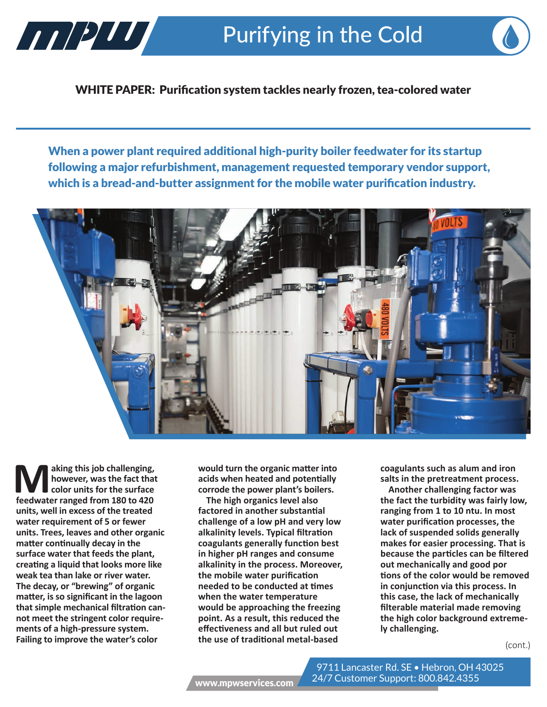

WHITE PAPER: Purification system tackles nearly frozen, tea-colored water

When a power plant required additional high-purity boiler feedwater for its startup following a major refurbishment, management requested temporary vendor support, which is a bread-and-butter assignment for the mobile water purification industry.



**Making this job challenging,**<br> **M** however, was the fact that<br> **feedwater ranged from 180 to 420 however, was the fact that color units for the surface units, well in excess of the treated water requirement of 5 or fewer units. Trees, leaves and other organic matter continually decay in the surface water that feeds the plant, creating a liquid that looks more like weak tea than lake or river water. The decay, or "brewing" of organic matter, is so significant in the lagoon that simple mechanical filtration cannot meet the stringent color requirements of a high-pressure system. Failing to improve the water's color** 

**would turn the organic matter into acids when heated and potentially corrode the power plant's boilers.**

**The high organics level also factored in another substantial challenge of a low pH and very low alkalinity levels. Typical filtration coagulants generally function best in higher pH ranges and consume alkalinity in the process. Moreover, the mobile water purification needed to be conducted at times when the water temperature would be approaching the freezing point. As a result, this reduced the effectiveness and all but ruled out the use of traditional metal-based** 

**coagulants such as alum and iron salts in the pretreatment process.**

**Another challenging factor was the fact the turbidity was fairly low, ranging from 1 to 10 ntu. In most water purification processes, the lack of suspended solids generally makes for easier processing. That is because the particles can be filtered out mechanically and good por tions of the color would be removed in conjunction via this process. In this case, the lack of mechanically filterable material made removing the high color background extremely challenging.**

(cont.)